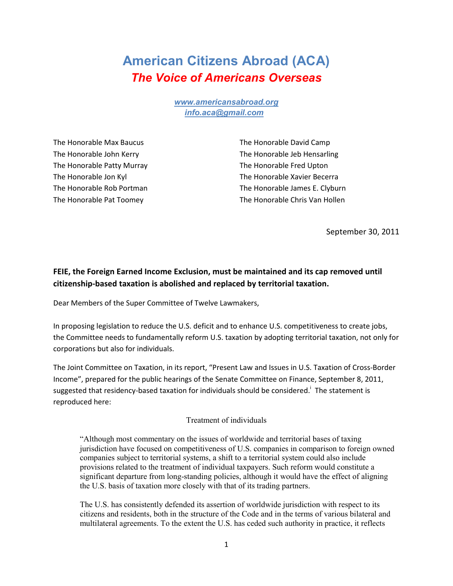## **American Citizens Abroad (ACA)** *The Voice of Americans Overseas*

*www.americansabroad.org info.aca@gmail.com* 

The Honorable Max Baucus The Honorable David Camp The Honorable Patty Murray The Honorable Fred Upton

The Honorable John Kerry The Honorable Jeb Hensarling The Honorable Jon Kyl The Honorable Xavier Becerra The Honorable Rob Portman The Honorable James E. Clyburn The Honorable Pat Toomey The Honorable Chris Van Hollen

September 30, 2011

## **FEIE, the Foreign Earned Income Exclusion, must be maintained and its cap removed until citizenship-based taxation is abolished and replaced by territorial taxation.**

Dear Members of the Super Committee of Twelve Lawmakers,

In proposing legislation to reduce the U.S. deficit and to enhance U.S. competitiveness to create jobs, the Committee needs to fundamentally reform U.S. taxation by adopting territorial taxation, not only for corporations but also for individuals.

The Joint Committee on Taxation, in its report, "Present Law and Issues in U.S. Taxation of Cross-Border Income", prepared for the public hearings of the Senate Committee on Finance, September 8, 2011, suggested that residency-based taxation for individuals should be considered.<sup>i</sup> The statement is reproduced here:

## Treatment of individuals

"Although most commentary on the issues of worldwide and territorial bases of taxing jurisdiction have focused on competitiveness of U.S. companies in comparison to foreign owned companies subject to territorial systems, a shift to a territorial system could also include provisions related to the treatment of individual taxpayers. Such reform would constitute a significant departure from long-standing policies, although it would have the effect of aligning the U.S. basis of taxation more closely with that of its trading partners.

The U.S. has consistently defended its assertion of worldwide jurisdiction with respect to its citizens and residents, both in the structure of the Code and in the terms of various bilateral and multilateral agreements. To the extent the U.S. has ceded such authority in practice, it reflects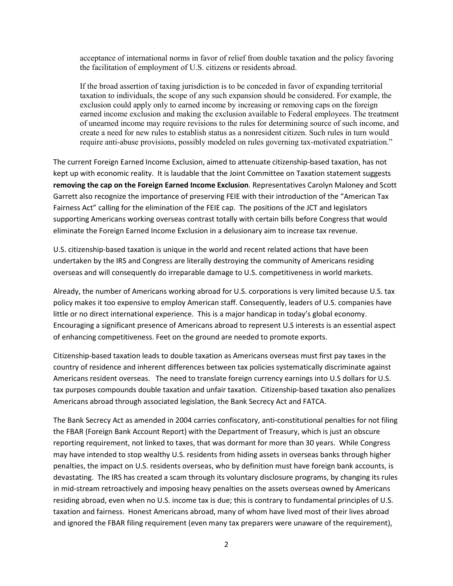acceptance of international norms in favor of relief from double taxation and the policy favoring the facilitation of employment of U.S. citizens or residents abroad.

If the broad assertion of taxing jurisdiction is to be conceded in favor of expanding territorial taxation to individuals, the scope of any such expansion should be considered. For example, the exclusion could apply only to earned income by increasing or removing caps on the foreign earned income exclusion and making the exclusion available to Federal employees. The treatment of unearned income may require revisions to the rules for determining source of such income, and create a need for new rules to establish status as a nonresident citizen. Such rules in turn would require anti-abuse provisions, possibly modeled on rules governing tax-motivated expatriation."

The current Foreign Earned Income Exclusion, aimed to attenuate citizenship-based taxation, has not kept up with economic reality. It is laudable that the Joint Committee on Taxation statement suggests **removing the cap on the Foreign Earned Income Exclusion**. Representatives Carolyn Maloney and Scott Garrett also recognize the importance of preserving FEIE with their introduction of the "American Tax Fairness Act" calling for the elimination of the FEIE cap. The positions of the JCT and legislators supporting Americans working overseas contrast totally with certain bills before Congress that would eliminate the Foreign Earned Income Exclusion in a delusionary aim to increase tax revenue.

U.S. citizenship-based taxation is unique in the world and recent related actions that have been undertaken by the IRS and Congress are literally destroying the community of Americans residing overseas and will consequently do irreparable damage to U.S. competitiveness in world markets.

Already, the number of Americans working abroad for U.S. corporations is very limited because U.S. tax policy makes it too expensive to employ American staff. Consequently, leaders of U.S. companies have little or no direct international experience. This is a major handicap in today's global economy. Encouraging a significant presence of Americans abroad to represent U.S interests is an essential aspect of enhancing competitiveness. Feet on the ground are needed to promote exports.

Citizenship-based taxation leads to double taxation as Americans overseas must first pay taxes in the country of residence and inherent differences between tax policies systematically discriminate against Americans resident overseas. The need to translate foreign currency earnings into U.S dollars for U.S. tax purposes compounds double taxation and unfair taxation. Citizenship-based taxation also penalizes Americans abroad through associated legislation, the Bank Secrecy Act and FATCA.

The Bank Secrecy Act as amended in 2004 carries confiscatory, anti-constitutional penalties for not filing the FBAR (Foreign Bank Account Report) with the Department of Treasury, which is just an obscure reporting requirement, not linked to taxes, that was dormant for more than 30 years. While Congress may have intended to stop wealthy U.S. residents from hiding assets in overseas banks through higher penalties, the impact on U.S. residents overseas, who by definition must have foreign bank accounts, is devastating. The IRS has created a scam through its voluntary disclosure programs, by changing its rules in mid-stream retroactively and imposing heavy penalties on the assets overseas owned by Americans residing abroad, even when no U.S. income tax is due; this is contrary to fundamental principles of U.S. taxation and fairness. Honest Americans abroad, many of whom have lived most of their lives abroad and ignored the FBAR filing requirement (even many tax preparers were unaware of the requirement),